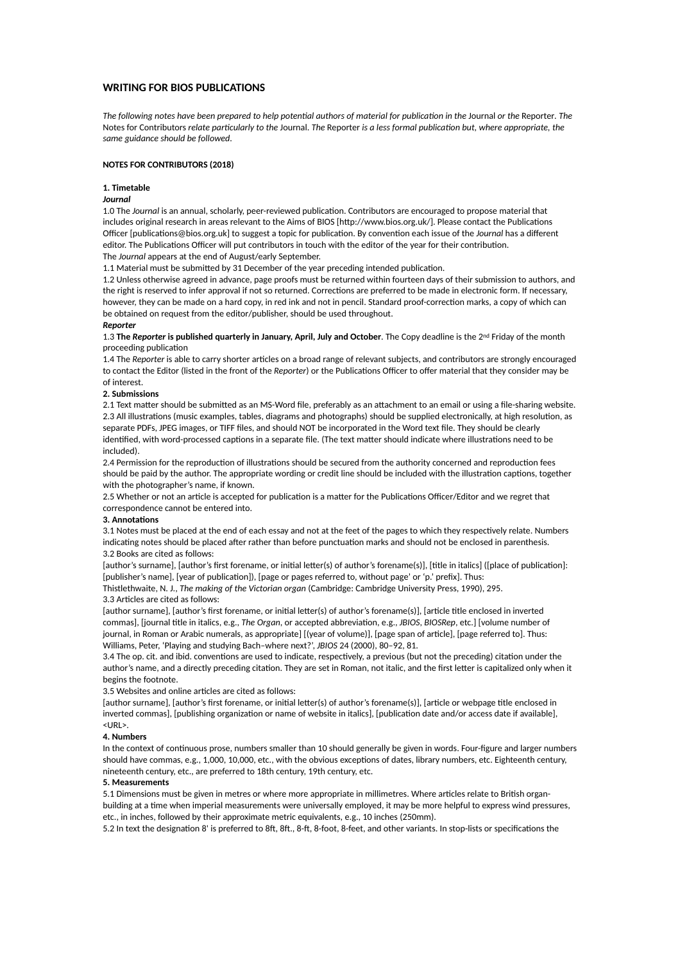# **WRITING FOR BIOS PUBLICATIONS**

*The following notes have been prepared to help potential authors of material for publication in the Journal or the Reporter. The* Notes for Contributors relate particularly to the Journal. The Reporter is a less formal publication but, where appropriate, the *same guidance should be followed.*

# **NOTES FOR CONTRIBUTORS (2018)**

### **1. Timetable**

# *Journal*

1.0 The Journal is an annual, scholarly, peer-reviewed publication. Contributors are encouraged to propose material that includes original research in areas relevant to the Aims of BIOS [http://www.bios.org.uk/]. Please contact the Publications Officer [publications@bios.org.uk] to suggest a topic for publication. By convention each issue of the *Journal* has a different editor. The Publications Officer will put contributors in touch with the editor of the year for their contribution. The *Journal* appears at the end of August/early September.

1.1 Material must be submitted by 31 December of the year preceding intended publication.

1.2 Unless otherwise agreed in advance, page proofs must be returned within fourteen days of their submission to authors, and the right is reserved to infer approval if not so returned. Corrections are preferred to be made in electronic form. If necessary, however, they can be made on a hard copy, in red ink and not in pencil. Standard proof-correction marks, a copy of which can be obtained on request from the editor/publisher, should be used throughout.

#### *Reporter*

1.3 **The** *Reporter* **is published quarterly in January, April, July and October**. The Copy deadline is the 2nd Friday of the month proceeding publication

1.4 The *Reporter* is able to carry shorter articles on a broad range of relevant subjects, and contributors are strongly encouraged to contact the Editor (listed in the front of the *Reporter*) or the Publications Officer to offer material that they consider may be of interest.

### **2. Submissions**

2.1 Text matter should be submitted as an MS-Word file, preferably as an attachment to an email or using a file-sharing website. 2.3 All illustrations (music examples, tables, diagrams and photographs) should be supplied electronically, at high resolution, as separate PDFs, JPEG images, or TIFF files, and should NOT be incorporated in the Word text file. They should be clearly identified, with word-processed captions in a separate file. (The text matter should indicate where illustrations need to be included).

2.4 Permission for the reproduction of illustrations should be secured from the authority concerned and reproduction fees should be paid by the author. The appropriate wording or credit line should be included with the illustration captions, together with the photographer's name, if known.

2.5 Whether or not an article is accepted for publication is a matter for the Publications Officer/Editor and we regret that correspondence cannot be entered into.

# **3. Annotations**

3.1 Notes must be placed at the end of each essay and not at the feet of the pages to which they respectively relate. Numbers indicating notes should be placed after rather than before punctuation marks and should not be enclosed in parenthesis. 3.2 Books are cited as follows:

[author's surname], [author's first forename, or initial letter(s) of author's forename(s)], [title in italics] ([place of publication]: [publisher's name], [year of publication]), [page or pages referred to, without page' or 'p.' prefix]. Thus:

Thistlethwaite, N. J., *The making of the Victorian organ* (Cambridge: Cambridge University Press, 1990), 295. 3.3 Articles are cited as follows:

[author surname], [author's first forename, or initial letter(s) of author's forename(s)], [article title enclosed in inverted commas], [journal title in italics, e.g., *The Organ*, or accepted abbreviation, e.g., *JBIOS*, *BIOSRep*, etc.] [volume number of journal, in Roman or Arabic numerals, as appropriate] [(year of volume)], [page span of article], [page referred to]. Thus: Williams, Peter, 'Playing and studying Bach–where next?', *JBIOS* 24 (2000), 80–92, 81.

3.4 The op. cit. and ibid. conventions are used to indicate, respectively, a previous (but not the preceding) citation under the author's name, and a directly preceding citation. They are set in Roman, not italic, and the first letter is capitalized only when it begins the footnote.

3.5 Websites and online articles are cited as follows:

[author surname], [author's first forename, or initial letter(s) of author's forename(s)], [article or webpage title enclosed in inverted commas], [publishing organization or name of website in italics], [publication date and/or access date if available], <URL>.

#### **4. Numbers**

In the context of continuous prose, numbers smaller than 10 should generally be given in words. Four-figure and larger numbers should have commas, e.g., 1,000, 10,000, etc., with the obvious exceptions of dates, library numbers, etc. Eighteenth century, nineteenth century, etc., are preferred to 18th century, 19th century, etc.

## **5. Measurements**

5.1 Dimensions must be given in metres or where more appropriate in millimetres. Where articles relate to British organbuilding at a time when imperial measurements were universally employed, it may be more helpful to express wind pressures, etc., in inches, followed by their approximate metric equivalents, e.g., 10 inches (250mm).

5.2 In text the designation 8' is preferred to 8ft, 8ft., 8-ft, 8-foot, 8-feet, and other variants. In stop-lists or specifications the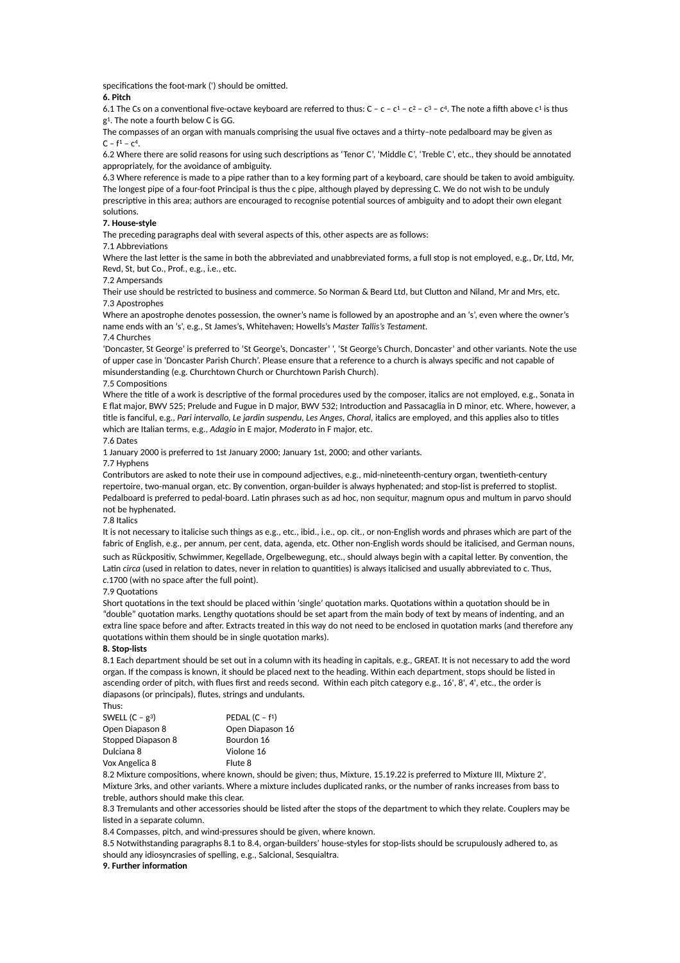specifications the foot-mark (') should be omitted.

## **6. Pitch**

6.1 The Cs on a conventional five-octave keyboard are referred to thus: C – c – c1 – c2 – c3 – c4. The note a fifth above c1 is thus g1. The note a fourth below C is GG.

The compasses of an organ with manuals comprising the usual five octaves and a thirty–note pedalboard may be given as  $C - f<sup>1</sup> - c<sup>4</sup>$ .

6.2 Where there are solid reasons for using such descriptions as 'Tenor C', 'Middle C', 'Treble C', etc., they should be annotated appropriately, for the avoidance of ambiguity.

6.3 Where reference is made to a pipe rather than to a key forming part of a keyboard, care should be taken to avoid ambiguity. The longest pipe of a four-foot Principal is thus the c pipe, although played by depressing C. We do not wish to be unduly prescriptive in this area; authors are encouraged to recognise potential sources of ambiguity and to adopt their own elegant solutions.

## **7. House-style**

The preceding paragraphs deal with several aspects of this, other aspects are as follows:

## 7.1 Abbreviations

Where the last letter is the same in both the abbreviated and unabbreviated forms, a full stop is not employed, e.g., Dr, Ltd, Mr, Revd, St, but Co., Prof., e.g., i.e., etc.

### 7.2 Ampersands

Their use should be restricted to business and commerce. So Norman & Beard Ltd, but Clutton and Niland, Mr and Mrs, etc. 7.3 Apostrophes

Where an apostrophe denotes possession, the owner's name is followed by an apostrophe and an 's', even where the owner's name ends with an 's', e.g., St James's, Whitehaven; Howells's *Master Tallis's Testament*.

# 7.4 Churches

'Doncaster, St George' is preferred to 'St George's, Doncaster' ', 'St George's Church, Doncaster' and other variants. Note the use of upper case in 'Doncaster Parish Church'. Please ensure that a reference to a church is always specific and not capable of misunderstanding (e.g. Churchtown Church or Churchtown Parish Church).

### 7.5 Compositions

Where the title of a work is descriptive of the formal procedures used by the composer, italics are not employed, e.g., Sonata in E flat major, BWV 525; Prelude and Fugue in D major, BWV 532; Introduction and Passacaglia in D minor, etc. Where, however, a title is fanciful, e.g., *Pari intervallo, Le jardin suspendu, Les Anges, Choral, italics are employed, and this applies also to titles* which are Italian terms, e.g., *Adagio* in E major, *Moderato* in F major, etc.

7.6 Dates

1 January 2000 is preferred to 1st January 2000; January 1st, 2000; and other variants.

7.7 Hyphens

Contributors are asked to note their use in compound adjectives, e.g., mid-nineteenth-century organ, twentieth-century repertoire, two-manual organ, etc. By convention, organ-builder is always hyphenated; and stop-list is preferred to stoplist. Pedalboard is preferred to pedal-board. Latin phrases such as ad hoc, non sequitur, magnum opus and multum in parvo should not be hyphenated.

## 7.8 Italics

It is not necessary to italicise such things as e.g., etc., ibid., i.e., op. cit., or non-English words and phrases which are part of the fabric of English, e.g., per annum, per cent, data, agenda, etc. Other non-English words should be italicised, and German nouns, such as Rückpositiv, Schwimmer, Kegellade, Orgelbewegung, etc., should always begin with a capital letter. By convention, the Latin circa (used in relation to dates, never in relation to quantities) is always italicised and usually abbreviated to c. Thus, *c*.1700 (with no space after the full point).

#### 7.9 Quotations

Short quotations in the text should be placed within 'single' quotation marks. Quotations within a quotation should be in "double" quotation marks. Lengthy quotations should be set apart from the main body of text by means of indenting, and an extra line space before and after. Extracts treated in this way do not need to be enclosed in quotation marks (and therefore any quotations within them should be in single quotation marks).

## **8. Stop-lists**

Thus:

8.1 Each department should be set out in a column with its heading in capitals, e.g., GREAT. It is not necessary to add the word organ. If the compass is known, it should be placed next to the heading. Within each department, stops should be listed in ascending order of pitch, with flues first and reeds second. Within each pitch category e.g., 16', 8', 4', etc., the order is diapasons (or principals), flutes, strings and undulants.

| .                  |                  |
|--------------------|------------------|
| SWELL $(C - g^3)$  | PEDAL $(C - f1)$ |
| Open Diapason 8    | Open Diapason 16 |
| Stopped Diapason 8 | Bourdon 16       |
| Dulciana 8         | Violone 16       |
| Vox Angelica 8     | Flute 8          |

8.2 Mixture compositions, where known, should be given; thus, Mixture, 15.19.22 is preferred to Mixture III, Mixture 2', Mixture 3rks, and other variants. Where a mixture includes duplicated ranks, or the number of ranks increases from bass to treble, authors should make this clear.

8.3 Tremulants and other accessories should be listed after the stops of the department to which they relate. Couplers may be listed in a separate column.

8.4 Compasses, pitch, and wind-pressures should be given, where known.

8.5 Notwithstanding paragraphs 8.1 to 8.4, organ-builders' house-styles for stop-lists should be scrupulously adhered to, as should any idiosyncrasies of spelling, e.g., Salcional, Sesquialtra.

## **9. Further information**